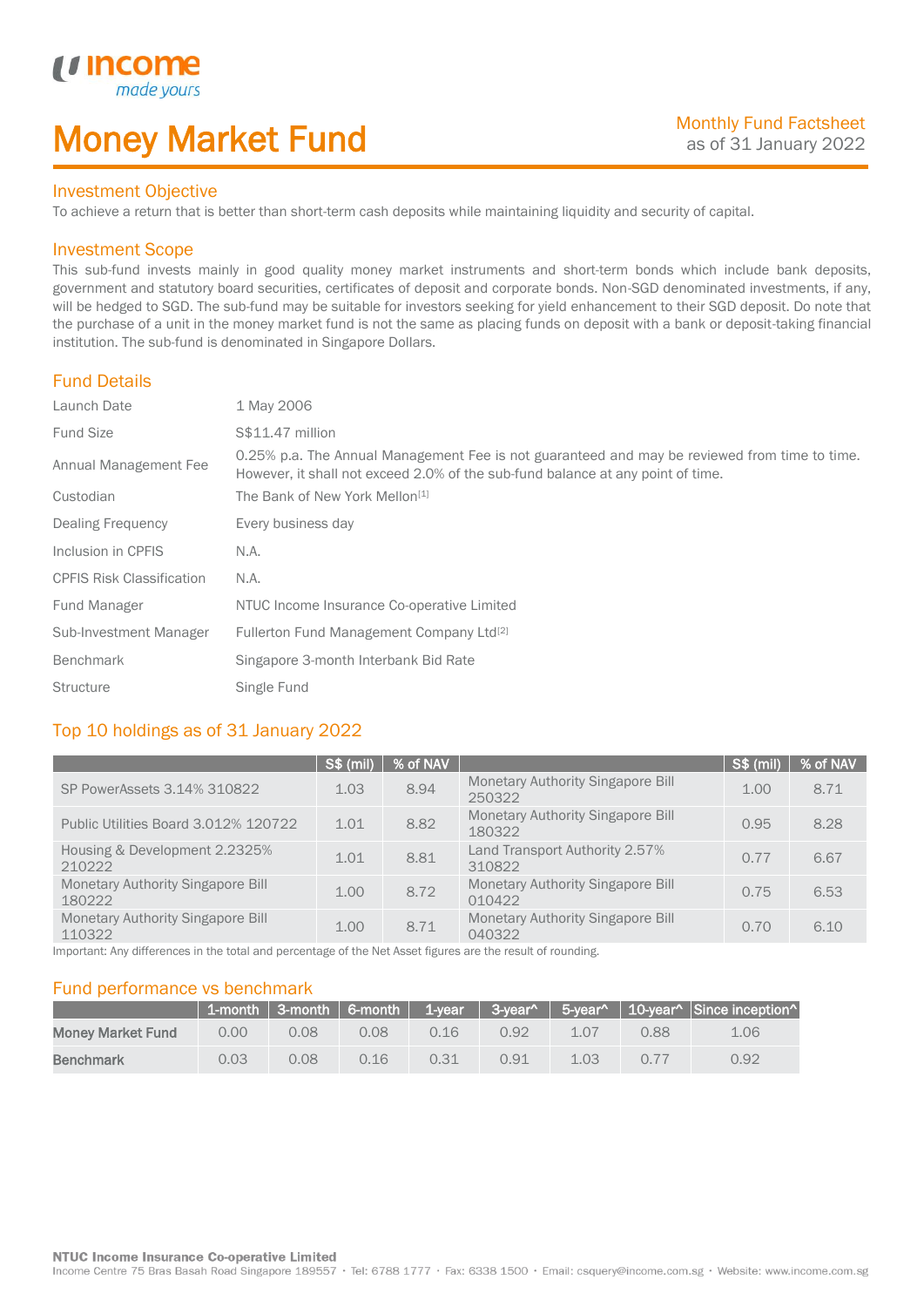# Money Market Fund

#### Investment Objective

made yo

*u* incom

I

To achieve a return that is better than short-term cash deposits while maintaining liquidity and security of capital.

#### Investment Scope

This sub-fund invests mainly in good quality money market instruments and short-term bonds which include bank deposits, government and statutory board securities, certificates of deposit and corporate bonds. Non-SGD denominated investments, if any, will be hedged to SGD. The sub-fund may be suitable for investors seeking for yield enhancement to their SGD deposit. Do note that the purchase of a unit in the money market fund is not the same as placing funds on deposit with a bank or deposit-taking financial institution. The sub-fund is denominated in Singapore Dollars.

#### Fund Details

| Launch Date                      | 1 May 2006                                                                                                                                                                       |
|----------------------------------|----------------------------------------------------------------------------------------------------------------------------------------------------------------------------------|
| <b>Fund Size</b>                 | S\$11.47 million                                                                                                                                                                 |
| Annual Management Fee            | 0.25% p.a. The Annual Management Fee is not guaranteed and may be reviewed from time to time.<br>However, it shall not exceed 2.0% of the sub-fund balance at any point of time. |
| Custodian                        | The Bank of New York Mellon <sup>[1]</sup>                                                                                                                                       |
| Dealing Frequency                | Every business day                                                                                                                                                               |
| Inclusion in CPFIS               | N.A.                                                                                                                                                                             |
| <b>CPFIS Risk Classification</b> | N.A.                                                                                                                                                                             |
| Fund Manager                     | NTUC Income Insurance Co-operative Limited                                                                                                                                       |
| Sub-Investment Manager           | Fullerton Fund Management Company Ltd <sup>[2]</sup>                                                                                                                             |
| <b>Benchmark</b>                 | Singapore 3-month Interbank Bid Rate                                                                                                                                             |
| <b>Structure</b>                 | Single Fund                                                                                                                                                                      |

## Top 10 holdings as of 31 January 2022

|                                                    | <b>S\$ (mil)</b> | % of NAV |                                                    | S\$ (mil) | % of NAV |
|----------------------------------------------------|------------------|----------|----------------------------------------------------|-----------|----------|
| SP PowerAssets 3.14% 310822                        | 1.03             | 8.94     | <b>Monetary Authority Singapore Bill</b><br>250322 | 1.00      | 8.71     |
| Public Utilities Board 3.012% 120722               | 1.01             | 8.82     | <b>Monetary Authority Singapore Bill</b><br>180322 | 0.95      | 8.28     |
| Housing & Development 2.2325%<br>210222            | 1.01             | 8.81     | Land Transport Authority 2.57%<br>310822           | 0.77      | 6.67     |
| Monetary Authority Singapore Bill<br>180222        | 1.00             | 8.72     | <b>Monetary Authority Singapore Bill</b><br>010422 | 0.75      | 6.53     |
| <b>Monetary Authority Singapore Bill</b><br>110322 | 1.00             | 8.71     | Monetary Authority Singapore Bill<br>040322        | 0.70      | 6.10     |

Important: Any differences in the total and percentage of the Net Asset figures are the result of rounding.

#### Fund performance vs benchmark

|                          |      |      |      |      |      |                   |      | 1-month   3-month   6-month   1-year   3-year^   5-year^   10-year^   Since inception^ |
|--------------------------|------|------|------|------|------|-------------------|------|----------------------------------------------------------------------------------------|
| <b>Money Market Fund</b> | 0.00 | 0.08 | 0.08 | 0.16 | 0.92 | 1.07              | 0.88 | 1.06                                                                                   |
| <b>Benchmark</b>         | 0.03 | 0.08 | 0.16 | 0.31 | 0.91 | 1.03 <sub>1</sub> | 0.77 | 0.92                                                                                   |